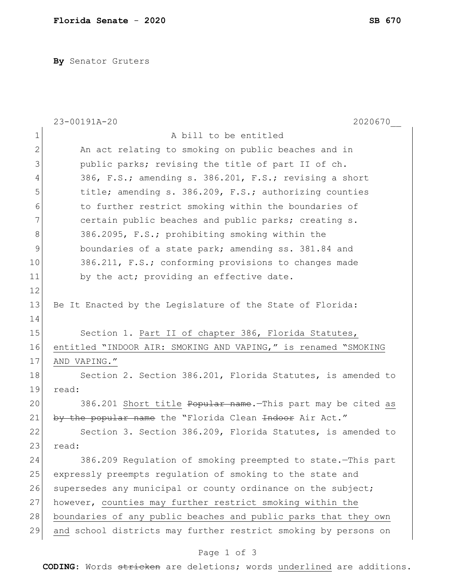**By** Senator Gruters

|                | 2020670<br>23-00191A-20                                         |
|----------------|-----------------------------------------------------------------|
| $\mathbf 1$    | A bill to be entitled                                           |
| $\overline{2}$ | An act relating to smoking on public beaches and in             |
| 3              | public parks; revising the title of part II of ch.              |
| 4              | 386, F.S.; amending s. 386.201, F.S.; revising a short          |
| 5              | title; amending s. 386.209, F.S.; authorizing counties          |
| 6              | to further restrict smoking within the boundaries of            |
| 7              | certain public beaches and public parks; creating s.            |
| 8              | 386.2095, F.S.; prohibiting smoking within the                  |
| 9              | boundaries of a state park; amending ss. 381.84 and             |
| 10             | 386.211, F.S.; conforming provisions to changes made            |
| 11             | by the act; providing an effective date.                        |
| 12             |                                                                 |
| 13             | Be It Enacted by the Legislature of the State of Florida:       |
| 14             |                                                                 |
| 15             | Section 1. Part II of chapter 386, Florida Statutes,            |
| 16             | entitled "INDOOR AIR: SMOKING AND VAPING," is renamed "SMOKING  |
| 17             | AND VAPING."                                                    |
| 18             | Section 2. Section 386.201, Florida Statutes, is amended to     |
| 19             | read:                                                           |
| 20             | 386.201 Short title Popular name. This part may be cited as     |
| 21             | by the popular name the "Florida Clean Indoor Air Act."         |
| 22             | Section 3. Section 386.209, Florida Statutes, is amended to     |
| 23             | read:                                                           |
| 24             | 386.209 Regulation of smoking preempted to state. This part     |
| 25             | expressly preempts regulation of smoking to the state and       |
| 26             | supersedes any municipal or county ordinance on the subject;    |
| 27             | however, counties may further restrict smoking within the       |
| 28             | boundaries of any public beaches and public parks that they own |
| 29             | and school districts may further restrict smoking by persons on |
|                |                                                                 |

## Page 1 of 3

**CODING**: Words stricken are deletions; words underlined are additions.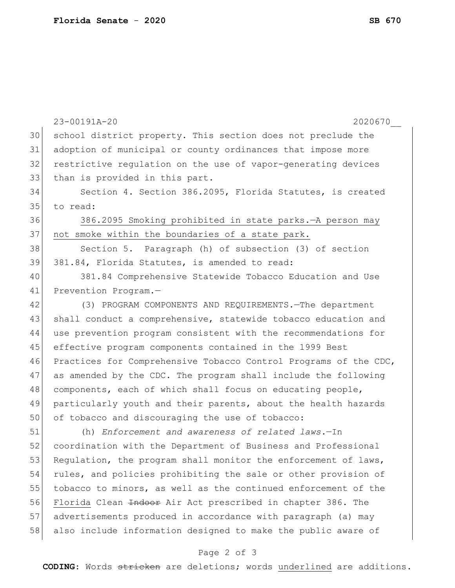|    | 23-00191A-20<br>2020670                                                |
|----|------------------------------------------------------------------------|
| 30 | school district property. This section does not preclude the           |
| 31 | adoption of municipal or county ordinances that impose more            |
| 32 | restrictive regulation on the use of vapor-generating devices          |
| 33 | than is provided in this part.                                         |
| 34 | Section 4. Section 386.2095, Florida Statutes, is created              |
| 35 | to read:                                                               |
| 36 | 386.2095 Smoking prohibited in state parks. - A person may             |
| 37 | not smoke within the boundaries of a state park.                       |
| 38 | Section 5. Paragraph (h) of subsection (3) of section                  |
| 39 | 381.84, Florida Statutes, is amended to read:                          |
| 40 | 381.84 Comprehensive Statewide Tobacco Education and Use               |
| 41 | Prevention Program.-                                                   |
| 42 | (3) PROGRAM COMPONENTS AND REQUIREMENTS. - The department              |
| 43 | shall conduct a comprehensive, statewide tobacco education and         |
| 44 | use prevention program consistent with the recommendations for         |
| 45 | effective program components contained in the 1999 Best                |
| 46 | Practices for Comprehensive Tobacco Control Programs of the CDC,       |
| 47 | as amended by the CDC. The program shall include the following         |
| 48 | components, each of which shall focus on educating people,             |
| 49 | particularly youth and their parents, about the health hazards         |
| 50 | of tobacco and discouraging the use of tobacco:                        |
| 51 | (h) Enforcement and awareness of related laws.-In                      |
| 52 | coordination with the Department of Business and Professional          |
| 53 | Regulation, the program shall monitor the enforcement of laws,         |
| 54 | rules, and policies prohibiting the sale or other provision of         |
| 55 | tobacco to minors, as well as the continued enforcement of the         |
| 56 | Florida Clean <del>Indoor</del> Air Act prescribed in chapter 386. The |
| 57 | advertisements produced in accordance with paragraph (a) may           |
| 58 | also include information designed to make the public aware of          |
|    | Page 2 of 3                                                            |

**CODING**: Words stricken are deletions; words underlined are additions.